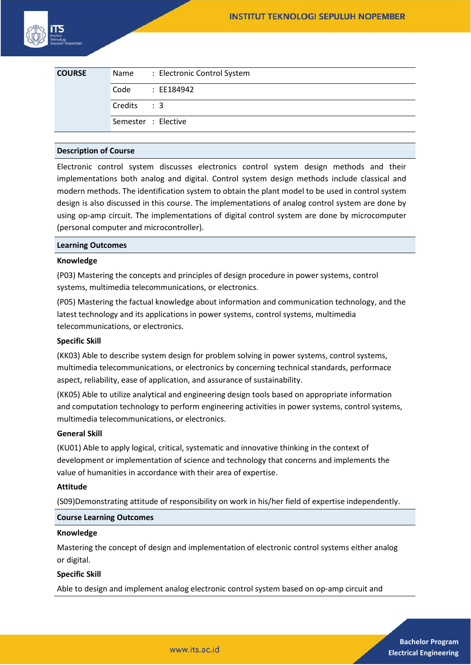

| <b>COURSE</b> | Name: Electronic Control System |  |
|---------------|---------------------------------|--|
|               | Code<br>: EE184942              |  |
|               | Credits : 3                     |  |
|               | Semester : Elective             |  |

## **Description of Course**

Electronic control system discusses electronics control system design methods and their implementations both analog and digital. Control system design methods include classical and modern methods. The identification system to obtain the plant model to be used in control system design is also discussed in this course. The implementations of analog control system are done by using op-amp circuit. The implementations of digital control system are done by microcomputer (personal computer and microcontroller).

#### **Learning Outcomes**

### **Knowledge**

(P03) Mastering the concepts and principles of design procedure in power systems, control systems, multimedia telecommunications, or electronics.

(P05) Mastering the factual knowledge about information and communication technology, and the latest technology and its applications in power systems, control systems, multimedia telecommunications, or electronics.

## **Specific Skill**

(KK03) Able to describe system design for problem solving in power systems, control systems, multimedia telecommunications, or electronics by concerning technical standards, performace aspect, reliability, ease of application, and assurance of sustainability.

(KK05) Able to utilize analytical and engineering design tools based on appropriate information and computation technology to perform engineering activities in power systems, control systems, multimedia telecommunications, or electronics.

#### **General Skill**

(KU01) Able to apply logical, critical, systematic and innovative thinking in the context of development or implementation of science and technology that concerns and implements the value of humanities in accordance with their area of expertise.

#### **Attitude**

(S09)Demonstrating attitude of responsibility on work in his/her field of expertise independently.

### **Course Learning Outcomes**

#### **Knowledge**

Mastering the concept of design and implementation of electronic control systems either analog or digital.

## **Specific Skill**

Able to design and implement analog electronic control system based on op-amp circuit and